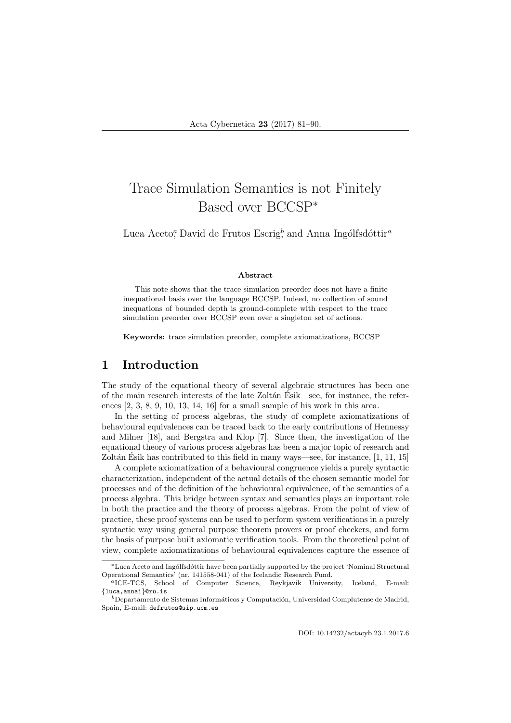# Trace Simulation Semantics is not Finitely Based over BCCSP<sup>∗</sup>

Luca Aceto<sup>*a*</sup>, David de Frutos Escrig<sup>*b*</sup>, and Anna Ingólfsdóttir<sup>a</sup>

#### Abstract

This note shows that the trace simulation preorder does not have a finite inequational basis over the language BCCSP. Indeed, no collection of sound inequations of bounded depth is ground-complete with respect to the trace simulation preorder over BCCSP even over a singleton set of actions.

Keywords: trace simulation preorder, complete axiomatizations, BCCSP

#### 1 Introduction

The study of the equational theory of several algebraic structures has been one of the main research interests of the late Zoltán Esik—see, for instance, the references [2, 3, 8, 9, 10, 13, 14, 16] for a small sample of his work in this area.

In the setting of process algebras, the study of complete axiomatizations of behavioural equivalences can be traced back to the early contributions of Hennessy and Milner [18], and Bergstra and Klop [7]. Since then, the investigation of the equational theory of various process algebras has been a major topic of research and Zoltán Ésik has contributed to this field in many ways—see, for instance,  $[1, 11, 15]$ 

A complete axiomatization of a behavioural congruence yields a purely syntactic characterization, independent of the actual details of the chosen semantic model for processes and of the definition of the behavioural equivalence, of the semantics of a process algebra. This bridge between syntax and semantics plays an important role in both the practice and the theory of process algebras. From the point of view of practice, these proof systems can be used to perform system verifications in a purely syntactic way using general purpose theorem provers or proof checkers, and form the basis of purpose built axiomatic verification tools. From the theoretical point of view, complete axiomatizations of behavioural equivalences capture the essence of

<sup>∗</sup>Luca Aceto and Ing´olfsd´ottir have been partially supported by the project 'Nominal Structural Operational Semantics' (nr. 141558-041) of the Icelandic Research Fund.

<sup>a</sup>ICE-TCS, School of Computer Science, Reykjavik University, Iceland, E-mail: {luca,annai}@ru.is

 $b$ Departamento de Sistemas Informáticos y Computación, Universidad Complutense de Madrid, Spain, E-mail: defrutos@sip.ucm.es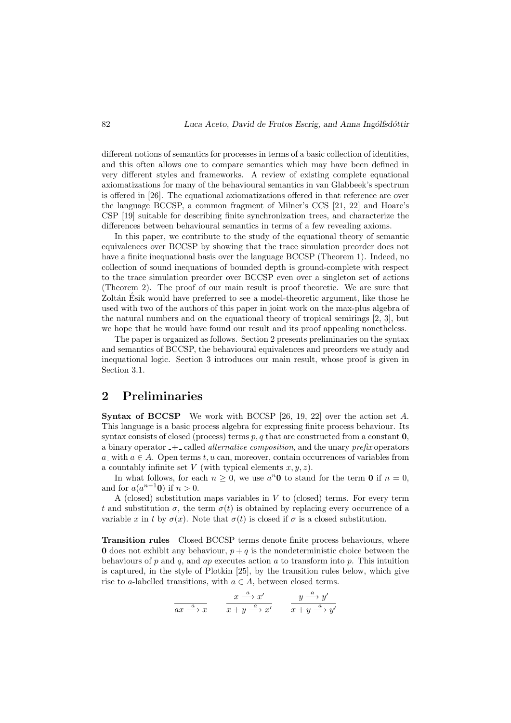different notions of semantics for processes in terms of a basic collection of identities, and this often allows one to compare semantics which may have been defined in very different styles and frameworks. A review of existing complete equational axiomatizations for many of the behavioural semantics in van Glabbeek's spectrum is offered in [26]. The equational axiomatizations offered in that reference are over the language BCCSP, a common fragment of Milner's CCS [21, 22] and Hoare's CSP [19] suitable for describing finite synchronization trees, and characterize the differences between behavioural semantics in terms of a few revealing axioms.

In this paper, we contribute to the study of the equational theory of semantic equivalences over BCCSP by showing that the trace simulation preorder does not have a finite inequational basis over the language BCCSP (Theorem 1). Indeed, no collection of sound inequations of bounded depth is ground-complete with respect to the trace simulation preorder over BCCSP even over a singleton set of actions (Theorem 2). The proof of our main result is proof theoretic. We are sure that Zoltán Esik would have preferred to see a model-theoretic argument, like those he used with two of the authors of this paper in joint work on the max-plus algebra of the natural numbers and on the equational theory of tropical semirings [2, 3], but we hope that he would have found our result and its proof appealing nonetheless.

The paper is organized as follows. Section 2 presents preliminaries on the syntax and semantics of BCCSP, the behavioural equivalences and preorders we study and inequational logic. Section 3 introduces our main result, whose proof is given in Section 3.1.

### 2 Preliminaries

Syntax of BCCSP We work with BCCSP [26, 19, 22] over the action set A. This language is a basic process algebra for expressing finite process behaviour. Its syntax consists of closed (process) terms  $p, q$  that are constructed from a constant  $\mathbf{0}$ , a binary operator  $-$  called *alternative composition*, and the unary *prefix* operators a with  $a \in A$ . Open terms t, u can, moreover, contain occurrences of variables from a countably infinite set V (with typical elements  $x, y, z$ ).

In what follows, for each  $n \geq 0$ , we use  $a^n \mathbf{0}$  to stand for the term  $\mathbf{0}$  if  $n = 0$ , and for  $a(a^{n-1}\mathbf{0})$  if  $n > 0$ .

A (closed) substitution maps variables in  $V$  to (closed) terms. For every term t and substitution  $\sigma$ , the term  $\sigma(t)$  is obtained by replacing every occurrence of a variable x in t by  $\sigma(x)$ . Note that  $\sigma(t)$  is closed if  $\sigma$  is a closed substitution.

Transition rules Closed BCCSP terms denote finite process behaviours, where **0** does not exhibit any behaviour,  $p + q$  is the nondeterministic choice between the behaviours of  $p$  and  $q$ , and  $ap$  executes action  $a$  to transform into  $p$ . This intuition is captured, in the style of Plotkin [25], by the transition rules below, which give rise to a-labelled transitions, with  $a \in A$ , between closed terms.

$$
\frac{x \xrightarrow{a} x'}{x+y \xrightarrow{a} x'} \qquad \frac{y \xrightarrow{a} y'}{x+y \xrightarrow{a} y'}
$$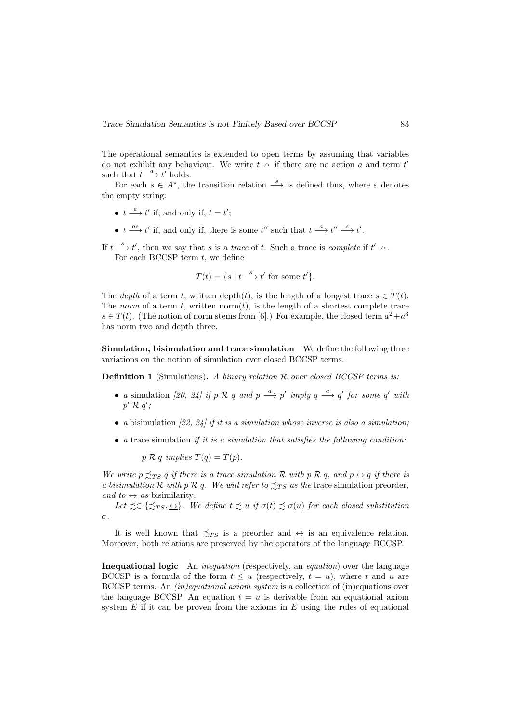The operational semantics is extended to open terms by assuming that variables do not exhibit any behaviour. We write  $t \rightarrow \infty$  if there are no action a and term t such that  $t \stackrel{a}{\longrightarrow} t'$  holds.

For each  $s \in A^*$ , the transition relation  $\xrightarrow{s}$  is defined thus, where  $\varepsilon$  denotes the empty string:

- $t \stackrel{\varepsilon}{\longrightarrow} t'$  if, and only if,  $t = t'$ ;
- $t \stackrel{as}{\longrightarrow} t'$  if, and only if, there is some  $t''$  such that  $t \stackrel{a}{\longrightarrow} t'' \stackrel{s}{\longrightarrow} t'$ .

If  $t \stackrel{s}{\longrightarrow} t'$ , then we say that s is a trace of t. Such a trace is complete if  $t' \nrightarrow$ . For each BCCSP term  $t$ , we define

$$
T(t) = \{ s \mid t \stackrel{s}{\longrightarrow} t' \text{ for some } t' \}.
$$

The depth of a term t, written depth $(t)$ , is the length of a longest trace  $s \in T(t)$ . The norm of a term t, written norm $(t)$ , is the length of a shortest complete trace  $s \in T(t)$ . (The notion of norm stems from [6].) For example, the closed term  $a^2 + a^3$ has norm two and depth three.

Simulation, bisimulation and trace simulation We define the following three variations on the notion of simulation over closed BCCSP terms.

**Definition 1** (Simulations). A binary relation  $\mathcal{R}$  over closed BCCSP terms is:

- a simulation [20, 24] if p R q and p  $\stackrel{a}{\longrightarrow}$  p' imply q  $\stackrel{a}{\longrightarrow}$  q' for some q' with  $p' \mathrel{\mathcal{R}} q'$ ;
- a bisimulation  $[22, 24]$  if it is a simulation whose inverse is also a simulation;
- a trace simulation if it is a simulation that satisfies the following condition:

 $p \mathcal{R} q$  implies  $T(q) = T(p)$ .

We write  $p \preceq_{TS} q$  if there is a trace simulation R with  $p \nvert R \nvert q$ , and  $p \leftrightarrow q$  if there is a bisimulation R with p R q. We will refer to  $\preceq_{TS}$  as the trace simulation preorder, and to  $\leftrightarrow$  as bisimilarity.

Let  $\precsim \in {\precsim_{TS}, \Leftrightarrow}.$  We define  $t \precsim u$  if  $\sigma(t) \precsim \sigma(u)$  for each closed substitution σ.

It is well known that  $\precsim_{TS}$  is a preorder and  $\leftrightarrow$  is an equivalence relation. Moreover, both relations are preserved by the operators of the language BCCSP.

Inequational logic An inequation (respectively, an equation) over the language BCCSP is a formula of the form  $t \leq u$  (respectively,  $t = u$ ), where t and u are BCCSP terms. An (in)equational axiom system is a collection of (in)equations over the language BCCSP. An equation  $t = u$  is derivable from an equational axiom system  $E$  if it can be proven from the axioms in  $E$  using the rules of equational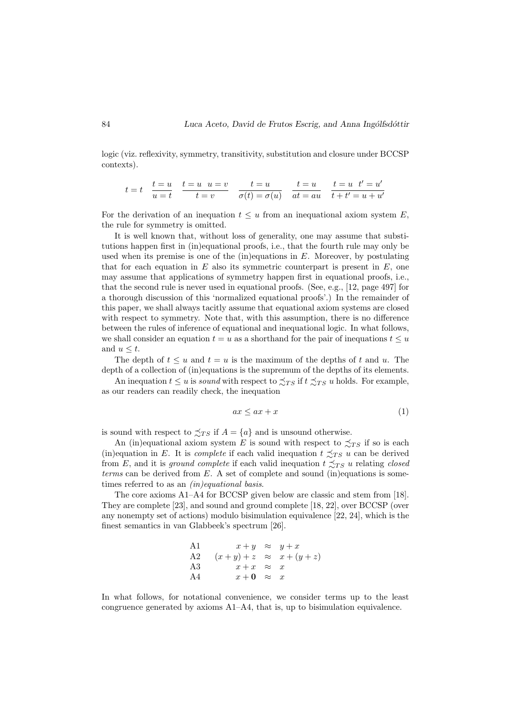logic (viz. reflexivity, symmetry, transitivity, substitution and closure under BCCSP contexts).

$$
t = t \quad \frac{t=u}{u=t} \quad \frac{t=u}{t=v} \quad \frac{u=v}{\sigma(t)=\sigma(u)} \quad \frac{t=u}{at=au} \quad \frac{t=u}{t+t'=u+u'}
$$

For the derivation of an inequation  $t \leq u$  from an inequational axiom system E, the rule for symmetry is omitted.

It is well known that, without loss of generality, one may assume that substitutions happen first in (in)equational proofs, i.e., that the fourth rule may only be used when its premise is one of the  $(in)$  equations in  $E$ . Moreover, by postulating that for each equation in  $E$  also its symmetric counterpart is present in  $E$ , one may assume that applications of symmetry happen first in equational proofs, i.e., that the second rule is never used in equational proofs. (See, e.g., [12, page 497] for a thorough discussion of this 'normalized equational proofs'.) In the remainder of this paper, we shall always tacitly assume that equational axiom systems are closed with respect to symmetry. Note that, with this assumption, there is no difference between the rules of inference of equational and inequational logic. In what follows, we shall consider an equation  $t = u$  as a shorthand for the pair of inequations  $t \leq u$ and  $u \leq t$ .

The depth of  $t \leq u$  and  $t = u$  is the maximum of the depths of t and u. The depth of a collection of (in)equations is the supremum of the depths of its elements.

An inequation  $t \le u$  is sound with respect to  $\precsim_{TS}$  if  $t \precsim_{TS} u$  holds. For example, as our readers can readily check, the inequation

$$
ax \le ax + x \tag{1}
$$

is sound with respect to  $\precsim_{TS}$  if  $A = \{a\}$  and is unsound otherwise.

An (in)equational axiom system E is sound with respect to  $\preceq_{TS}$  if so is each (in)equation in E. It is *complete* if each valid inequation  $t \preceq_{TS} u$  can be derived from E, and it is ground complete if each valid inequation  $t \precsim_{TS} u$  relating closed  $terms can be derived from E. A set of complete and sound (in) equations is some$ times referred to as an  $(in)$ equational basis.

The core axioms A1–A4 for BCCSP given below are classic and stem from [18]. They are complete [23], and sound and ground complete [18, 22], over BCCSP (over any nonempty set of actions) modulo bisimulation equivalence [22, 24], which is the finest semantics in van Glabbeek's spectrum [26].

A1 
$$
x+y \approx y+x
$$
  
\nA2  $(x+y)+z \approx x+(y+z)$   
\nA3  $x+x \approx x$   
\nA4  $x+0 \approx x$ 

In what follows, for notational convenience, we consider terms up to the least congruence generated by axioms  $A1-A4$ , that is, up to bisimulation equivalence.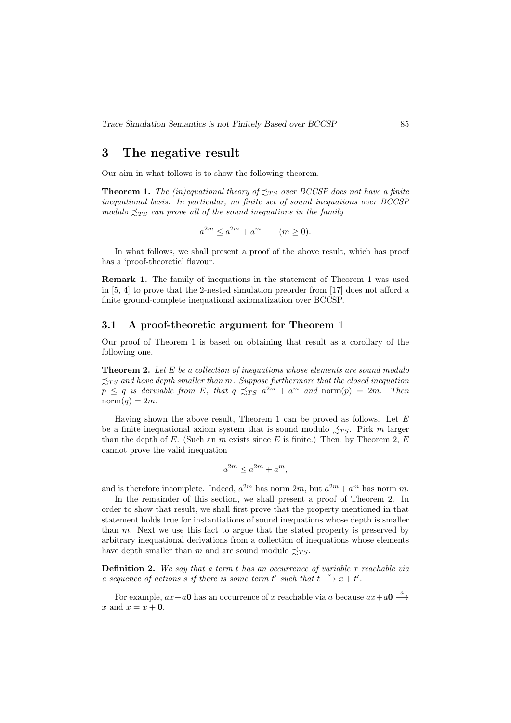Trace Simulation Semantics is not Finitely Based over BCCSP 85

### 3 The negative result

Our aim in what follows is to show the following theorem.

**Theorem 1.** The (in)equational theory of  $\precsim_{TS}$  over BCCSP does not have a finite inequational basis. In particular, no finite set of sound inequations over BCCSP modulo  $\preceq_{TS}$  can prove all of the sound inequations in the family

$$
a^{2m} \le a^{2m} + a^m \qquad (m \ge 0).
$$

In what follows, we shall present a proof of the above result, which has proof has a 'proof-theoretic' flavour.

Remark 1. The family of inequations in the statement of Theorem 1 was used in [5, 4] to prove that the 2-nested simulation preorder from [17] does not afford a finite ground-complete inequational axiomatization over BCCSP.

#### 3.1 A proof-theoretic argument for Theorem 1

Our proof of Theorem 1 is based on obtaining that result as a corollary of the following one.

**Theorem 2.** Let  $E$  be a collection of inequations whose elements are sound modulo  $\lesssim_{TS}$  and have depth smaller than m. Suppose furthermore that the closed inequation  $p \leq q$  is derivable from E, that  $q \precsim_{TS} a^{2m} + a^m$  and  $\text{norm}(p) = 2m$ . Then  $norm(q) = 2m$ .

Having shown the above result, Theorem 1 can be proved as follows. Let  $E$ be a finite inequational axiom system that is sound modulo  $\precsim_{TS}$ . Pick m larger than the depth of E. (Such an m exists since E is finite.) Then, by Theorem 2, E cannot prove the valid inequation

$$
a^{2m} \le a^{2m} + a^m,
$$

and is therefore incomplete. Indeed,  $a^{2m}$  has norm  $2m$ , but  $a^{2m} + a^m$  has norm m.

In the remainder of this section, we shall present a proof of Theorem 2. In order to show that result, we shall first prove that the property mentioned in that statement holds true for instantiations of sound inequations whose depth is smaller than  $m$ . Next we use this fact to argue that the stated property is preserved by arbitrary inequational derivations from a collection of inequations whose elements have depth smaller than m and are sound modulo  $\preceq_{TS}$ .

**Definition 2.** We say that a term  $t$  has an occurrence of variable  $x$  reachable via a sequence of actions s if there is some term t' such that  $t \stackrel{s}{\longrightarrow} x + t'$ .

For example,  $ax + a0$  has an occurrence of x reachable via a because  $ax + a0 \stackrel{a}{\longrightarrow}$ x and  $x = x + 0$ .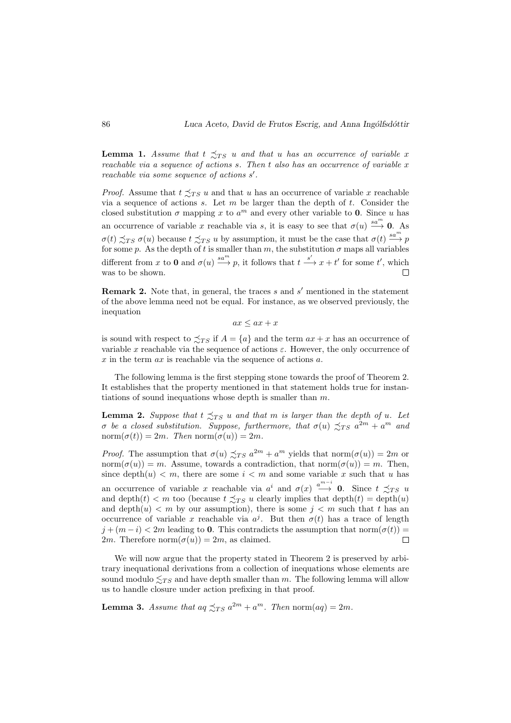**Lemma 1.** Assume that  $t \preceq_{TS} u$  and that u has an occurrence of variable x reachable via a sequence of actions  $s$ . Then  $t$  also has an occurrence of variable  $x$ reachable via some sequence of actions  $s'$ .

*Proof.* Assume that  $t \preceq_{TS} u$  and that u has an occurrence of variable x reachable via a sequence of actions  $s$ . Let  $m$  be larger than the depth of  $t$ . Consider the closed substitution  $\sigma$  mapping x to  $a^m$  and every other variable to 0. Since u has an occurrence of variable x reachable via s, it is easy to see that  $\sigma(u) \stackrel{sa^m}{\longrightarrow} 0$ . As  $\sigma(t) \precsim_{TS} \sigma(u)$  because  $t \precsim_{TS} u$  by assumption, it must be the case that  $\sigma(t) \stackrel{sa^m}{\longrightarrow} p$ for some p. As the depth of t is smaller than m, the substitution  $\sigma$  maps all variables different from x to 0 and  $\sigma(u) \stackrel{sa^m}{\longrightarrow} p$ , it follows that  $t \stackrel{s'}{\longrightarrow} x + t'$  for some t', which was to be shown.  $\Box$ 

**Remark 2.** Note that, in general, the traces  $s$  and  $s'$  mentioned in the statement of the above lemma need not be equal. For instance, as we observed previously, the inequation

 $ax \leq ax + x$ 

is sound with respect to  $\precsim_{TS}$  if  $A = \{a\}$  and the term  $ax + x$  has an occurrence of variable x reachable via the sequence of actions  $\varepsilon$ . However, the only occurrence of  $x$  in the term  $ax$  is reachable via the sequence of actions  $a$ .

The following lemma is the first stepping stone towards the proof of Theorem 2. It establishes that the property mentioned in that statement holds true for instantiations of sound inequations whose depth is smaller than  $m$ .

**Lemma 2.** Suppose that  $t \preceq_{TS} u$  and that m is larger than the depth of u. Let σ be a closed substitution. Suppose, furthermore, that  $\sigma(u) \precsim_{TS} a^{2m} + a^m$  and norm $(\sigma(t)) = 2m$ . Then norm $(\sigma(u)) = 2m$ .

*Proof.* The assumption that  $\sigma(u) \preceq_{TS} a^{2m} + a^m$  yields that norm $(\sigma(u)) = 2m$  or norm $(\sigma(u)) = m$ . Assume, towards a contradiction, that norm $(\sigma(u)) = m$ . Then, since depth $(u) < m$ , there are some  $i < m$  and some variable x such that u has an occurrence of variable x reachable via  $a^i$  and  $\sigma(x) \stackrel{a^{m-i}}{\longrightarrow} 0$ . Since  $t \precsim_{TS} u$ and depth $(t) < m$  too (because  $t \preceq_{TS} u$  clearly implies that depth $(t) = \text{depth}(u)$ and depth $(u) < m$  by our assumption), there is some  $j < m$  such that t has an occurrence of variable x reachable via  $a^j$ . But then  $\sigma(t)$  has a trace of length  $j + (m - i) < 2m$  leading to 0. This contradicts the assumption that norm $(\sigma(t))$  =  $\Box$ 2m. Therefore norm $(\sigma(u)) = 2m$ , as claimed.

We will now argue that the property stated in Theorem 2 is preserved by arbitrary inequational derivations from a collection of inequations whose elements are sound modulo  $\leq_{TS}$  and have depth smaller than m. The following lemma will allow us to handle closure under action prefixing in that proof.

**Lemma 3.** Assume that  $aq \precsim_{TS} a^{2m} + a^m$ . Then norm $(aq) = 2m$ .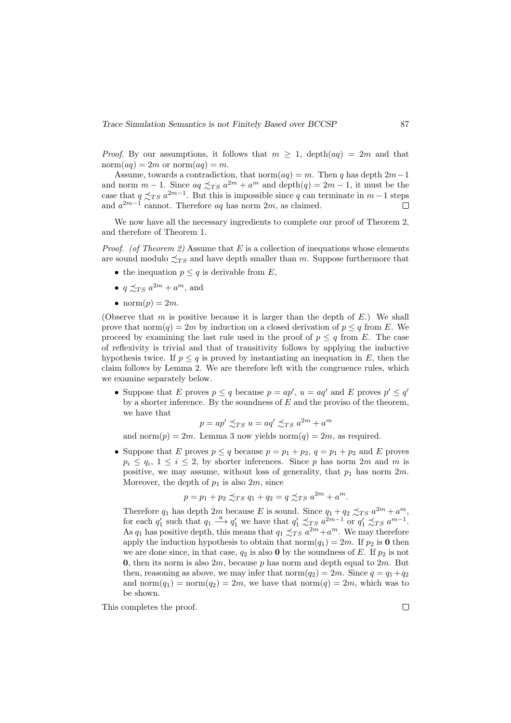*Proof.* By our assumptions, it follows that  $m \geq 1$ , depth $(aq) = 2m$  and that norm $(aq) = 2m$  or norm $(aq) = m$ .

Assume, towards a contradiction, that norm $(aq) = m$ . Then q has depth  $2m-1$ and norm  $m-1$ . Since  $aq \preceq_{TS} a^{2m} + a^m$  and  $depth(q) = 2m-1$ , it must be the case that  $q \precsim_{TS} a^{2m-1}$ . But this is impossible since q can terminate in  $m-1$  steps and  $a^{2m-1}$  cannot. Therefore  $aq$  has norm  $2m$ , as claimed.  $\Box$ 

We now have all the necessary ingredients to complete our proof of Theorem 2. and therefore of Theorem 1.

*Proof.* (of Theorem 2) Assume that  $E$  is a collection of inequations whose elements are sound modulo  $\preceq_{TS}$  and have depth smaller than m. Suppose furthermore that

- the inequation  $p \leq q$  is derivable from E,
- $q \precsim_{TS} a^{2m} + a^m$ , and
- norm $(p) = 2m$ .

(Observe that m is positive because it is larger than the depth of  $E$ .) We shall prove that norm $(q) = 2m$  by induction on a closed derivation of  $p \leq q$  from E. We proceed by examining the last rule used in the proof of  $p \leq q$  from E. The case of reflexivity is trivial and that of transitivity follows by applying the inductive hypothesis twice. If  $p \leq q$  is proved by instantiating an inequation in E, then the claim follows by Lemma 2. We are therefore left with the congruence rules, which we examine separately below.

• Suppose that E proves  $p \leq q$  because  $p = ap'$ ,  $u = aq'$  and E proves  $p' \leq q'$ by a shorter inference. By the soundness of  $E$  and the proviso of the theorem, we have that

$$
p = ap' \preceq_{TS} u = aq' \preceq_{TS} a^{2m} + a^m
$$

and norm $(p) = 2m$ . Lemma 3 now yields norm $(q) = 2m$ , as required.

• Suppose that E proves  $p \le q$  because  $p = p_1 + p_2$ ,  $q = p_1 + p_2$  and E proves  $p_i \le q_i, 1 \le i \le 2$ , by shorter inferences. Since p has norm  $2m$  and m is positive, we may assume, without loss of generality, that  $p_1$  has norm  $2m$ . Moreover, the depth of  $p_1$  is also  $2m$ , since

$$
p = p_1 + p_2 \precsim_{TS} q_1 + q_2 = q \precsim_{TS} a^{2m} + a^m.
$$

Therefore  $q_1$  has depth  $2m$  because E is sound. Since  $q_1 + q_2 \precsim_{TS} a^{2m} + a^m$ , for each  $q'_1$  such that  $q_1 \stackrel{a}{\longrightarrow} q'_1$  we have that  $q'_1 \precsim_{TS} a^{2m-1}$  or  $q'_1 \precsim_{TS} a^{m-1}$ . As  $q_1$  has positive depth, this means that  $q_1 \precsim_{TS} a^{2m} + a^m$ . We may therefore apply the induction hypothesis to obtain that norm $(q_1) = 2m$ . If  $p_2$  is 0 then we are done since, in that case,  $q_2$  is also 0 by the soundness of E. If  $p_2$  is not 0, then its norm is also  $2m$ , because p has norm and depth equal to  $2m$ . But then, reasoning as above, we may infer that  $\text{norm}(q_2) = 2m$ . Since  $q = q_1 + q_2$ and norm $(q_1)$  = norm $(q_2)$  = 2m, we have that norm $(q)$  = 2m, which was to be shown.

This completes the proof.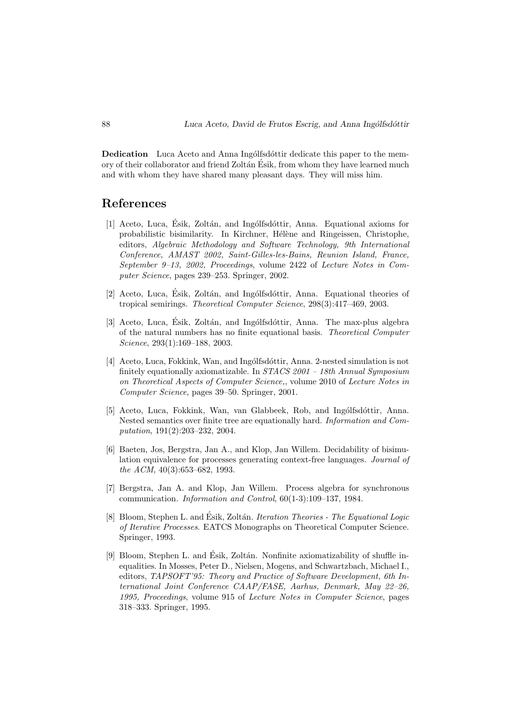**Dedication** Luca Aceto and Anna Ingolfsdottir dedicate this paper to the memory of their collaborator and friend Zoltán Ésik, from whom they have learned much and with whom they have shared many pleasant days. They will miss him.

## References

- [1] Aceto, Luca, Ésik, Zoltán, and Ingólfsdóttir, Anna. Equational axioms for probabilistic bisimilarity. In Kirchner, Hélène and Ringeissen, Christophe, editors, Algebraic Methodology and Software Technology, 9th International Conference, AMAST 2002, Saint-Gilles-les-Bains, Reunion Island, France, September 9–13, 2002, Proceedings, volume 2422 of Lecture Notes in Computer Science, pages 239–253. Springer, 2002.
- [2] Aceto, Luca, Ésik, Zoltán, and Ingólfsdóttir, Anna. Equational theories of tropical semirings. Theoretical Computer Science, 298(3):417–469, 2003.
- [3] Aceto, Luca, Ésik, Zoltán, and Ingólfsdóttir, Anna. The max-plus algebra of the natural numbers has no finite equational basis. Theoretical Computer Science, 293(1):169–188, 2003.
- [4] Aceto, Luca, Fokkink, Wan, and Ingólfsdóttir, Anna. 2-nested simulation is not finitely equationally axiomatizable. In  $STACS 2001 - 18th Annual Symposium$ on Theoretical Aspects of Computer Science,, volume 2010 of Lecture Notes in Computer Science, pages 39–50. Springer, 2001.
- [5] Aceto, Luca, Fokkink, Wan, van Glabbeek, Rob, and Ingólfsdóttir, Anna. Nested semantics over finite tree are equationally hard. Information and Computation, 191(2):203–232, 2004.
- [6] Baeten, Jos, Bergstra, Jan A., and Klop, Jan Willem. Decidability of bisimulation equivalence for processes generating context-free languages. Journal of the ACM, 40(3):653–682, 1993.
- [7] Bergstra, Jan A. and Klop, Jan Willem. Process algebra for synchronous communication. Information and Control, 60(1-3):109–137, 1984.
- [8] Bloom, Stephen L. and Ésik, Zoltán. *Iteration Theories The Equational Logic* of Iterative Processes. EATCS Monographs on Theoretical Computer Science. Springer, 1993.
- [9] Bloom, Stephen L. and Esik, Zoltán. Nonfinite axiomatizability of shuffle inequalities. In Mosses, Peter D., Nielsen, Mogens, and Schwartzbach, Michael I., editors, TAPSOFT'95: Theory and Practice of Software Development, 6th International Joint Conference CAAP/FASE, Aarhus, Denmark, May 22–26, 1995, Proceedings, volume 915 of Lecture Notes in Computer Science, pages 318–333. Springer, 1995.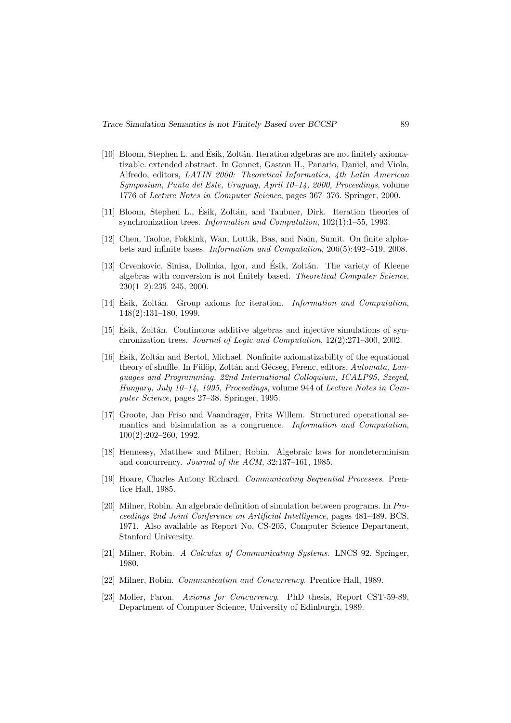- [10] Bloom, Stephen L. and Ésik, Zoltán. Iteration algebras are not finitely axiomatizable. extended abstract. In Gonnet, Gaston H., Panario, Daniel, and Viola, Alfredo, editors, LATIN 2000: Theoretical Informatics, 4th Latin American Symposium, Punta del Este, Uruguay, April 10–14, 2000, Proceedings, volume 1776 of Lecture Notes in Computer Science, pages 367–376. Springer, 2000.
- [11] Bloom, Stephen L., Ésik, Zoltán, and Taubner, Dirk. Iteration theories of synchronization trees. Information and Computation, 102(1):1–55, 1993.
- [12] Chen, Taolue, Fokkink, Wan, Luttik, Bas, and Nain, Sumit. On finite alphabets and infinite bases. Information and Computation, 206(5):492–519, 2008.
- [13] Crvenkovic, Sinisa, Dolinka, Igor, and Ésik, Zoltán. The variety of Kleene algebras with conversion is not finitely based. Theoretical Computer Science, 230(1–2):235–245, 2000.
- [14] Esik, Zoltán. Group axioms for iteration. *Information and Computation*, 148(2):131–180, 1999.
- [15] Esik, Zolt´an. Continuous additive algebras and injective simulations of syn- ´ chronization trees. Journal of Logic and Computation, 12(2):271–300, 2002.
- [16] Esik, Zolt´an and Bertol, Michael. Nonfinite axiomatizability of the equational ´ theory of shuffle. In Fülöp, Zoltán and Gécseg, Ferenc, editors, Automata, Languages and Programming, 22nd International Colloquium, ICALP95, Szeged, Hungary, July 10–14, 1995, Proceedings, volume 944 of Lecture Notes in Computer Science, pages 27–38. Springer, 1995.
- [17] Groote, Jan Friso and Vaandrager, Frits Willem. Structured operational semantics and bisimulation as a congruence. Information and Computation, 100(2):202–260, 1992.
- [18] Hennessy, Matthew and Milner, Robin. Algebraic laws for nondeterminism and concurrency. Journal of the ACM, 32:137–161, 1985.
- [19] Hoare, Charles Antony Richard. Communicating Sequential Processes. Prentice Hall, 1985.
- [20] Milner, Robin. An algebraic definition of simulation between programs. In Proceedings 2nd Joint Conference on Artificial Intelligence, pages 481–489. BCS, 1971. Also available as Report No. CS-205, Computer Science Department, Stanford University.
- [21] Milner, Robin. A Calculus of Communicating Systems. LNCS 92. Springer, 1980.
- [22] Milner, Robin. Communication and Concurrency. Prentice Hall, 1989.
- [23] Moller, Faron. Axioms for Concurrency. PhD thesis, Report CST-59-89, Department of Computer Science, University of Edinburgh, 1989.